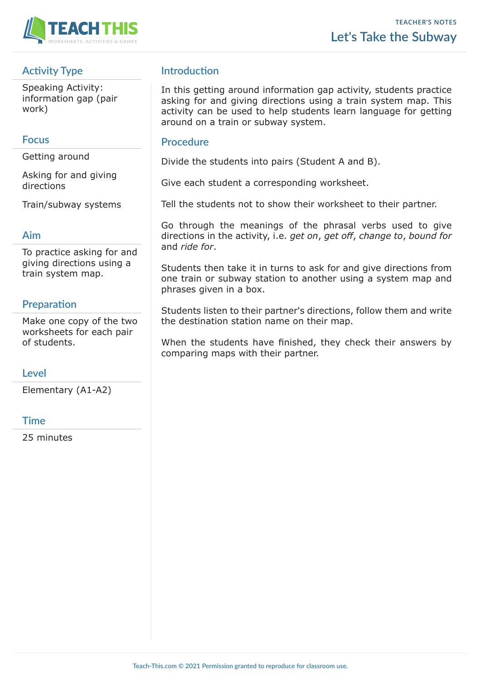



# **Activity Type**

Speaking Activity: information gap (pair work)

## **Focus**

Getting around

Asking for and giving directions

Train/subway systems

### **Aim**

To practice asking for and giving directions using a train system map.

## **Preparation**

Make one copy of the two worksheets for each pair of students.

### **Level**

Elementary (A1-A2)

### **Time**

25 minutes

## **Introduction**

In this getting around information gap activity, students practice asking for and giving directions using a train system map. This activity can be used to help students learn language for getting around on a train or subway system.

#### **Procedure**

Divide the students into pairs (Student A and B).

Give each student a corresponding worksheet.

Tell the students not to show their worksheet to their partner.

Go through the meanings of the phrasal verbs used to give directions in the activity, i.e. *get on*, *get off*, *change to*, *bound for*  and *ride for*.

Students then take it in turns to ask for and give directions from one train or subway station to another using a system map and phrases given in a box.

Students listen to their partner's directions, follow them and write the destination station name on their map.

When the students have finished, they check their answers by comparing maps with their partner.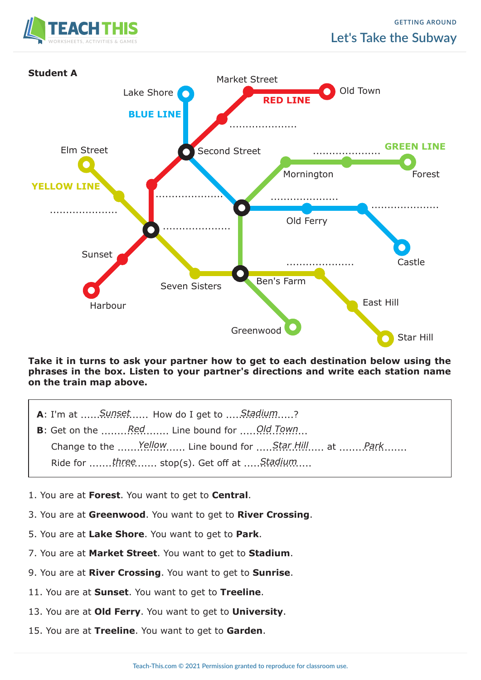



**Take it in turns to ask your partner how to get to each destination below using the phrases in the box. Listen to your partner's directions and write each station name on the train map above.**

- **A**: I'm at ......Sunset...... How do I get to .....Stadium.....?
- **B**: Get on the *........Red Collection* Line bound for *Cold Town*... Change to the *......Yellow .....* Line bound for *......Star Hill III...* at *........Park* ....... *R*ide for .......three ....... stop(s). Get off at .....Stadium ....
- 1. You are at **Forest**. You want to get to **Central**.
- 3. You are at **Greenwood**. You want to get to **River Crossing**.
- 5. You are at **Lake Shore**. You want to get to **Park**.
- 7. You are at **Market Street**. You want to get to **Stadium**.
- 9. You are at **River Crossing**. You want to get to **Sunrise**.
- 11. You are at **Sunset**. You want to get to **Treeline**.
- 13. You are at **Old Ferry**. You want to get to **University**.
- 15. You are at **Treeline**. You want to get to **Garden**.